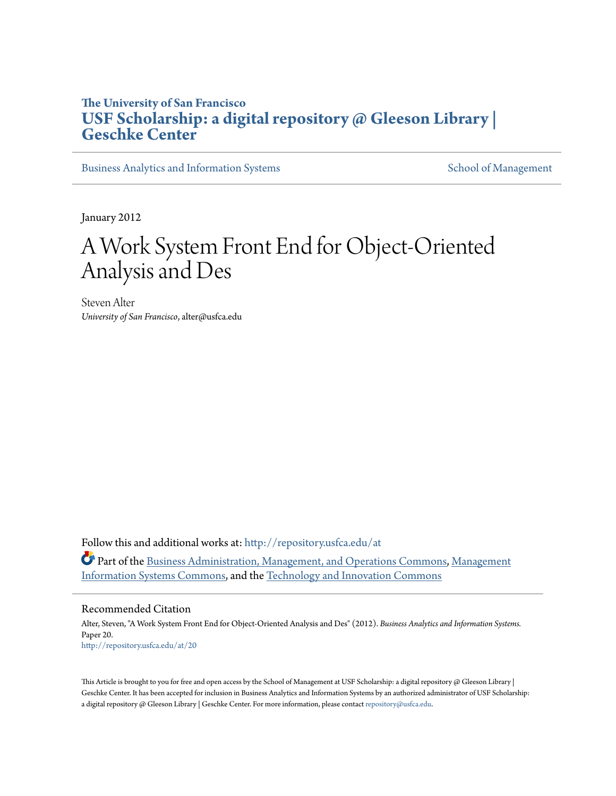### **The University of San Francisco [USF Scholarship: a digital repository @ Gleeson Library |](http://repository.usfca.edu?utm_source=repository.usfca.edu%2Fat%2F20&utm_medium=PDF&utm_campaign=PDFCoverPages) [Geschke Center](http://repository.usfca.edu?utm_source=repository.usfca.edu%2Fat%2F20&utm_medium=PDF&utm_campaign=PDFCoverPages)**

[Business Analytics and Information Systems](http://repository.usfca.edu/at?utm_source=repository.usfca.edu%2Fat%2F20&utm_medium=PDF&utm_campaign=PDFCoverPages) [School of Management](http://repository.usfca.edu/management?utm_source=repository.usfca.edu%2Fat%2F20&utm_medium=PDF&utm_campaign=PDFCoverPages) School of Management

January 2012

# A Work System Front End for Object-Oriented Analysis and Des

Steven Alter *University of San Francisco*, alter@usfca.edu

Follow this and additional works at: [http://repository.usfca.edu/at](http://repository.usfca.edu/at?utm_source=repository.usfca.edu%2Fat%2F20&utm_medium=PDF&utm_campaign=PDFCoverPages) Part of the [Business Administration, Management, and Operations Commons](http://network.bepress.com/hgg/discipline/623?utm_source=repository.usfca.edu%2Fat%2F20&utm_medium=PDF&utm_campaign=PDFCoverPages), [Management](http://network.bepress.com/hgg/discipline/636?utm_source=repository.usfca.edu%2Fat%2F20&utm_medium=PDF&utm_campaign=PDFCoverPages) [Information Systems Commons](http://network.bepress.com/hgg/discipline/636?utm_source=repository.usfca.edu%2Fat%2F20&utm_medium=PDF&utm_campaign=PDFCoverPages), and the [Technology and Innovation Commons](http://network.bepress.com/hgg/discipline/644?utm_source=repository.usfca.edu%2Fat%2F20&utm_medium=PDF&utm_campaign=PDFCoverPages)

#### Recommended Citation

Alter, Steven, "A Work System Front End for Object-Oriented Analysis and Des" (2012). *Business Analytics and Information Systems.* Paper 20. [http://repository.usfca.edu/at/20](http://repository.usfca.edu/at/20?utm_source=repository.usfca.edu%2Fat%2F20&utm_medium=PDF&utm_campaign=PDFCoverPages)

This Article is brought to you for free and open access by the School of Management at USF Scholarship: a digital repository  $\varnothing$  Gleeson Library | Geschke Center. It has been accepted for inclusion in Business Analytics and Information Systems by an authorized administrator of USF Scholarship: a digital repository @ Gleeson Library | Geschke Center. For more information, please contact [repository@usfca.edu.](mailto:repository@usfca.edu)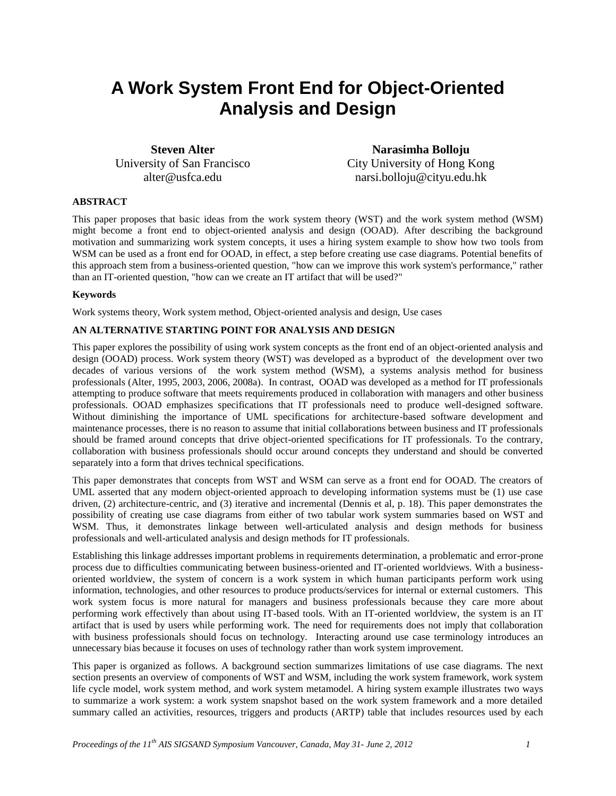## **A Work System Front End for Object-Oriented Analysis and Design**

**Steven Alter** University of San Francisco alter@usfca.edu

**Narasimha Bolloju** City University of Hong Kong narsi.bolloju@cityu.edu.hk

#### **ABSTRACT**

This paper proposes that basic ideas from the work system theory (WST) and the work system method (WSM) might become a front end to object-oriented analysis and design (OOAD). After describing the background motivation and summarizing work system concepts, it uses a hiring system example to show how two tools from WSM can be used as a front end for OOAD, in effect, a step before creating use case diagrams. Potential benefits of this approach stem from a business-oriented question, "how can we improve this work system's performance," rather than an IT-oriented question, "how can we create an IT artifact that will be used?"

#### **Keywords**

Work systems theory, Work system method, Object-oriented analysis and design, Use cases

#### **AN ALTERNATIVE STARTING POINT FOR ANALYSIS AND DESIGN**

This paper explores the possibility of using work system concepts as the front end of an object-oriented analysis and design (OOAD) process. Work system theory (WST) was developed as a byproduct of the development over two decades of various versions of the work system method (WSM), a systems analysis method for business professionals (Alter, 1995, 2003, 2006, 2008a). In contrast, OOAD was developed as a method for IT professionals attempting to produce software that meets requirements produced in collaboration with managers and other business professionals. OOAD emphasizes specifications that IT professionals need to produce well-designed software. Without diminishing the importance of UML specifications for architecture-based software development and maintenance processes, there is no reason to assume that initial collaborations between business and IT professionals should be framed around concepts that drive object-oriented specifications for IT professionals. To the contrary, collaboration with business professionals should occur around concepts they understand and should be converted separately into a form that drives technical specifications.

This paper demonstrates that concepts from WST and WSM can serve as a front end for OOAD. The creators of UML asserted that any modern object-oriented approach to developing information systems must be (1) use case driven, (2) architecture-centric, and (3) iterative and incremental (Dennis et al, p. 18). This paper demonstrates the possibility of creating use case diagrams from either of two tabular work system summaries based on WST and WSM. Thus, it demonstrates linkage between well-articulated analysis and design methods for business professionals and well-articulated analysis and design methods for IT professionals.

Establishing this linkage addresses important problems in requirements determination, a problematic and error-prone process due to difficulties communicating between business-oriented and IT-oriented worldviews. With a businessoriented worldview, the system of concern is a work system in which human participants perform work using information, technologies, and other resources to produce products/services for internal or external customers. This work system focus is more natural for managers and business professionals because they care more about performing work effectively than about using IT-based tools. With an IT-oriented worldview, the system is an IT artifact that is used by users while performing work. The need for requirements does not imply that collaboration with business professionals should focus on technology. Interacting around use case terminology introduces an unnecessary bias because it focuses on uses of technology rather than work system improvement.

This paper is organized as follows. A background section summarizes limitations of use case diagrams. The next section presents an overview of components of WST and WSM, including the work system framework, work system life cycle model, work system method, and work system metamodel. A hiring system example illustrates two ways to summarize a work system: a work system snapshot based on the work system framework and a more detailed summary called an activities, resources, triggers and products (ARTP) table that includes resources used by each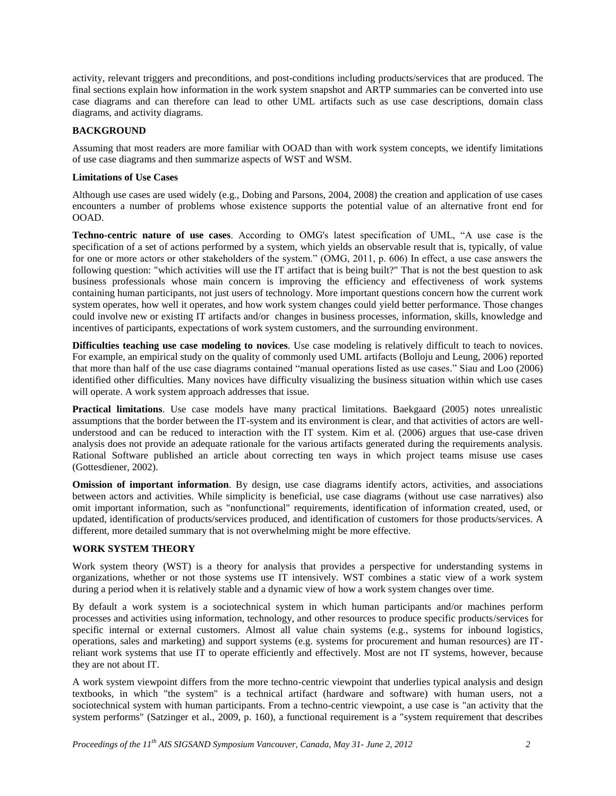activity, relevant triggers and preconditions, and post-conditions including products/services that are produced. The final sections explain how information in the work system snapshot and ARTP summaries can be converted into use case diagrams and can therefore can lead to other UML artifacts such as use case descriptions, domain class diagrams, and activity diagrams.

#### **BACKGROUND**

Assuming that most readers are more familiar with OOAD than with work system concepts, we identify limitations of use case diagrams and then summarize aspects of WST and WSM.

#### **Limitations of Use Cases**

Although use cases are used widely (e.g., Dobing and Parsons, 2004, 2008) the creation and application of use cases encounters a number of problems whose existence supports the potential value of an alternative front end for OOAD.

**Techno-centric nature of use cases**. According to OMG's latest specification of UML, "A use case is the specification of a set of actions performed by a system, which yields an observable result that is, typically, of value for one or more actors or other stakeholders of the system." (OMG, 2011, p. 606) In effect, a use case answers the following question: "which activities will use the IT artifact that is being built?" That is not the best question to ask business professionals whose main concern is improving the efficiency and effectiveness of work systems containing human participants, not just users of technology. More important questions concern how the current work system operates, how well it operates, and how work system changes could yield better performance. Those changes could involve new or existing IT artifacts and/or changes in business processes, information, skills, knowledge and incentives of participants, expectations of work system customers, and the surrounding environment.

**Difficulties teaching use case modeling to novices**. Use case modeling is relatively difficult to teach to novices. For example, an empirical study on the quality of commonly used UML artifacts (Bolloju and Leung, 2006) reported that more than half of the use case diagrams contained "manual operations listed as use cases." Siau and Loo (2006) identified other difficulties. Many novices have difficulty visualizing the business situation within which use cases will operate. A work system approach addresses that issue.

**Practical limitations**. Use case models have many practical limitations. Baekgaard (2005) notes unrealistic assumptions that the border between the IT-system and its environment is clear, and that activities of actors are wellunderstood and can be reduced to interaction with the IT system. Kim et al. (2006) argues that use-case driven analysis does not provide an adequate rationale for the various artifacts generated during the requirements analysis. Rational Software published an article about correcting ten ways in which project teams misuse use cases (Gottesdiener, 2002).

**Omission of important information**. By design, use case diagrams identify actors, activities, and associations between actors and activities. While simplicity is beneficial, use case diagrams (without use case narratives) also omit important information, such as "nonfunctional" requirements, identification of information created, used, or updated, identification of products/services produced, and identification of customers for those products/services. A different, more detailed summary that is not overwhelming might be more effective.

#### **WORK SYSTEM THEORY**

Work system theory (WST) is a theory for analysis that provides a perspective for understanding systems in organizations, whether or not those systems use IT intensively. WST combines a static view of a work system during a period when it is relatively stable and a dynamic view of how a work system changes over time.

By default a work system is a sociotechnical system in which human participants and/or machines perform processes and activities using information, technology, and other resources to produce specific products/services for specific internal or external customers. Almost all value chain systems (e.g., systems for inbound logistics, operations, sales and marketing) and support systems (e.g. systems for procurement and human resources) are ITreliant work systems that use IT to operate efficiently and effectively. Most are not IT systems, however, because they are not about IT.

A work system viewpoint differs from the more techno-centric viewpoint that underlies typical analysis and design textbooks, in which "the system" is a technical artifact (hardware and software) with human users, not a sociotechnical system with human participants. From a techno-centric viewpoint, a use case is "an activity that the system performs" (Satzinger et al., 2009, p. 160), a functional requirement is a "system requirement that describes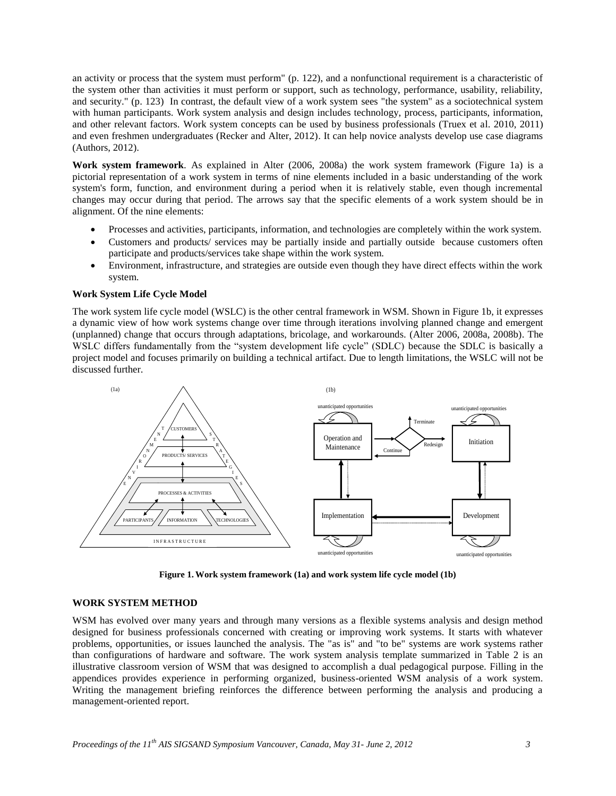an activity or process that the system must perform" (p. 122), and a nonfunctional requirement is a characteristic of the system other than activities it must perform or support, such as technology, performance, usability, reliability, and security." (p. 123) In contrast, the default view of a work system sees "the system" as a sociotechnical system with human participants. Work system analysis and design includes technology, process, participants, information, and other relevant factors. Work system concepts can be used by business professionals (Truex et al. 2010, 2011) and even freshmen undergraduates (Recker and Alter, 2012). It can help novice analysts develop use case diagrams (Authors, 2012).

**Work system framework**. As explained in Alter (2006, 2008a) the work system framework (Figure 1a) is a pictorial representation of a work system in terms of nine elements included in a basic understanding of the work system's form, function, and environment during a period when it is relatively stable, even though incremental changes may occur during that period. The arrows say that the specific elements of a work system should be in alignment. Of the nine elements:

- Processes and activities, participants, information, and technologies are completely within the work system.
- Customers and products/ services may be partially inside and partially outside because customers often participate and products/services take shape within the work system.
- Environment, infrastructure, and strategies are outside even though they have direct effects within the work system.

#### **Work System Life Cycle Model**

The work system life cycle model (WSLC) is the other central framework in WSM. Shown in Figure 1b, it expresses a dynamic view of how work systems change over time through iterations involving planned change and emergent (unplanned) change that occurs through adaptations, bricolage, and workarounds. (Alter 2006, 2008a, 2008b). The WSLC differs fundamentally from the "system development life cycle" (SDLC) because the SDLC is basically a project model and focuses primarily on building a technical artifact. Due to length limitations, the WSLC will not be discussed further.



**Figure 1.Work system framework (1a) and work system life cycle model (1b)**

#### **WORK SYSTEM METHOD**

WSM has evolved over many years and through many versions as a flexible systems analysis and design method designed for business professionals concerned with creating or improving work systems. It starts with whatever problems, opportunities, or issues launched the analysis. The "as is" and "to be" systems are work systems rather than configurations of hardware and software. The work system analysis template summarized in Table 2 is an illustrative classroom version of WSM that was designed to accomplish a dual pedagogical purpose. Filling in the appendices provides experience in performing organized, business-oriented WSM analysis of a work system. Writing the management briefing reinforces the difference between performing the analysis and producing a management-oriented report.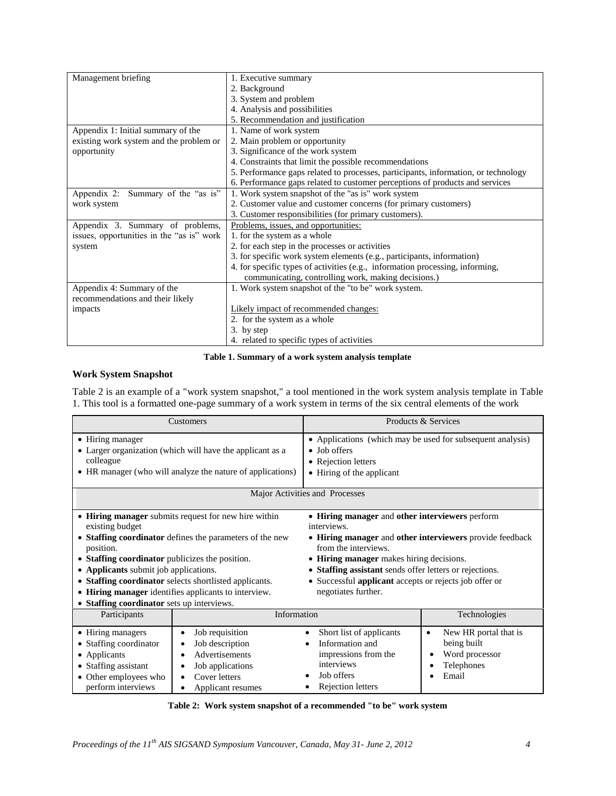| Management briefing                       | 1. Executive summary                                                               |  |  |  |  |  |
|-------------------------------------------|------------------------------------------------------------------------------------|--|--|--|--|--|
|                                           | 2. Background                                                                      |  |  |  |  |  |
|                                           | 3. System and problem                                                              |  |  |  |  |  |
|                                           | 4. Analysis and possibilities                                                      |  |  |  |  |  |
|                                           | 5. Recommendation and justification                                                |  |  |  |  |  |
| Appendix 1: Initial summary of the        | 1. Name of work system                                                             |  |  |  |  |  |
| existing work system and the problem or   | 2. Main problem or opportunity                                                     |  |  |  |  |  |
| opportunity                               | 3. Significance of the work system                                                 |  |  |  |  |  |
|                                           | 4. Constraints that limit the possible recommendations                             |  |  |  |  |  |
|                                           | 5. Performance gaps related to processes, participants, information, or technology |  |  |  |  |  |
|                                           | 6. Performance gaps related to customer perceptions of products and services       |  |  |  |  |  |
| Summary of the "as is"<br>Appendix $2$ :  | 1. Work system snapshot of the "as is" work system                                 |  |  |  |  |  |
| work system                               | 2. Customer value and customer concerns (for primary customers)                    |  |  |  |  |  |
|                                           | 3. Customer responsibilities (for primary customers).                              |  |  |  |  |  |
| Appendix 3. Summary of problems,          | Problems, issues, and opportunities:                                               |  |  |  |  |  |
| issues, opportunities in the "as is" work | 1. for the system as a whole                                                       |  |  |  |  |  |
| system                                    | 2. for each step in the processes or activities                                    |  |  |  |  |  |
|                                           | 3. for specific work system elements (e.g., participants, information)             |  |  |  |  |  |
|                                           | 4. for specific types of activities (e.g., information processing, informing,      |  |  |  |  |  |
|                                           | communicating, controlling work, making decisions.)                                |  |  |  |  |  |
| Appendix 4: Summary of the                | 1. Work system snapshot of the "to be" work system.                                |  |  |  |  |  |
| recommendations and their likely          |                                                                                    |  |  |  |  |  |
| impacts                                   | Likely impact of recommended changes:                                              |  |  |  |  |  |
|                                           | 2. for the system as a whole                                                       |  |  |  |  |  |
|                                           | 3. by step                                                                         |  |  |  |  |  |
|                                           | 4. related to specific types of activities                                         |  |  |  |  |  |

**Table 1. Summary of a work system analysis template**

#### **Work System Snapshot**

Table 2 is an example of a "work system snapshot," a tool mentioned in the work system analysis template in Table 1. This tool is a formatted one-page summary of a work system in terms of the six central elements of the work

|                                                                                                                                                                        | Customers                                                                                                                                                                                                                          | Products & Services                                                                                                                                                                                                                                                                                                                        |                                                                                            |  |  |  |  |  |
|------------------------------------------------------------------------------------------------------------------------------------------------------------------------|------------------------------------------------------------------------------------------------------------------------------------------------------------------------------------------------------------------------------------|--------------------------------------------------------------------------------------------------------------------------------------------------------------------------------------------------------------------------------------------------------------------------------------------------------------------------------------------|--------------------------------------------------------------------------------------------|--|--|--|--|--|
| • Hiring manager<br>colleague                                                                                                                                          | • Larger organization (which will have the applicant as a<br>• HR manager (who will analyze the nature of applications)                                                                                                            | • Applications (which may be used for subsequent analysis)<br>$\bullet$ Job offers<br>• Rejection letters<br>• Hiring of the applicant                                                                                                                                                                                                     |                                                                                            |  |  |  |  |  |
| Major Activities and Processes                                                                                                                                         |                                                                                                                                                                                                                                    |                                                                                                                                                                                                                                                                                                                                            |                                                                                            |  |  |  |  |  |
| existing budget<br>position.<br>• Staffing coordinator publicizes the position.<br>• Applicants submit job applications.<br>• Staffing coordinator sets up interviews. | • Hiring manager submits request for new hire within<br>• Staffing coordinator defines the parameters of the new<br>• Staffing coordinator selects shortlisted applicants.<br>• Hiring manager identifies applicants to interview. | • Hiring manager and other interviewers perform<br>interviews.<br>• Hiring manager and other interviewers provide feedback<br>from the interviews.<br>• Hiring manager makes hiring decisions.<br>• Staffing assistant sends offer letters or rejections.<br>• Successful applicant accepts or rejects job offer or<br>negotiates further. |                                                                                            |  |  |  |  |  |
| Participants                                                                                                                                                           | Information                                                                                                                                                                                                                        |                                                                                                                                                                                                                                                                                                                                            | Technologies                                                                               |  |  |  |  |  |
| • Hiring managers<br>• Staffing coordinator<br>• Applicants<br>• Staffing assistant<br>• Other employees who<br>perform interviews                                     | Job requisition<br>Job description<br>Advertisements<br>Job applications<br>Cover letters<br>Applicant resumes                                                                                                                     | Short list of applicants<br>$\bullet$<br>Information and<br>impressions from the<br>interviews<br>Job offers<br>Rejection letters                                                                                                                                                                                                          | New HR portal that is<br>$\bullet$<br>being built<br>Word processor<br>Telephones<br>Email |  |  |  |  |  |

**Table 2: Work system snapshot of a recommended "to be" work system**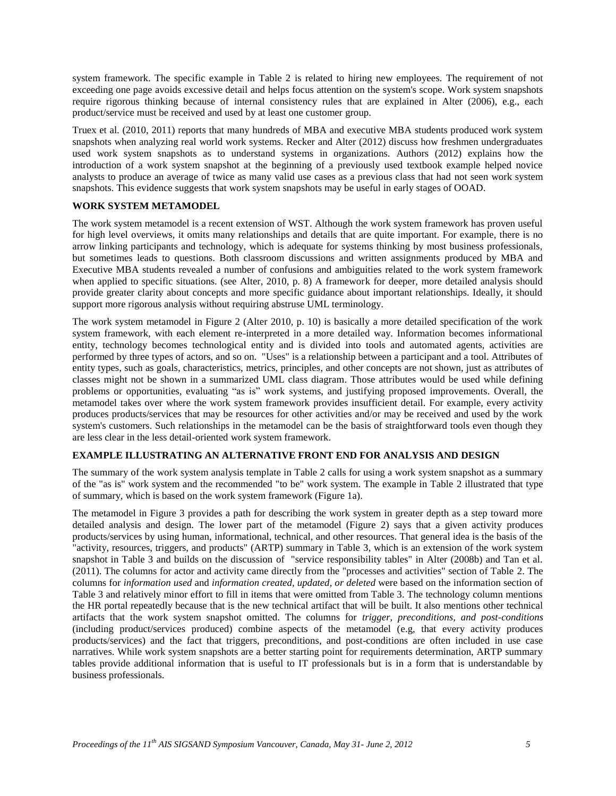system framework. The specific example in Table 2 is related to hiring new employees. The requirement of not exceeding one page avoids excessive detail and helps focus attention on the system's scope. Work system snapshots require rigorous thinking because of internal consistency rules that are explained in Alter (2006), e.g., each product/service must be received and used by at least one customer group.

Truex et al. (2010, 2011) reports that many hundreds of MBA and executive MBA students produced work system snapshots when analyzing real world work systems. Recker and Alter (2012) discuss how freshmen undergraduates used work system snapshots as to understand systems in organizations. Authors (2012) explains how the introduction of a work system snapshot at the beginning of a previously used textbook example helped novice analysts to produce an average of twice as many valid use cases as a previous class that had not seen work system snapshots. This evidence suggests that work system snapshots may be useful in early stages of OOAD.

#### **WORK SYSTEM METAMODEL**

The work system metamodel is a recent extension of WST. Although the work system framework has proven useful for high level overviews, it omits many relationships and details that are quite important. For example, there is no arrow linking participants and technology, which is adequate for systems thinking by most business professionals, but sometimes leads to questions. Both classroom discussions and written assignments produced by MBA and Executive MBA students revealed a number of confusions and ambiguities related to the work system framework when applied to specific situations. (see Alter, 2010, p. 8) A framework for deeper, more detailed analysis should provide greater clarity about concepts and more specific guidance about important relationships. Ideally, it should support more rigorous analysis without requiring abstruse UML terminology.

The work system metamodel in Figure 2 (Alter 2010, p. 10) is basically a more detailed specification of the work system framework, with each element re-interpreted in a more detailed way. Information becomes informational entity, technology becomes technological entity and is divided into tools and automated agents, activities are performed by three types of actors, and so on. "Uses" is a relationship between a participant and a tool. Attributes of entity types, such as goals, characteristics, metrics, principles, and other concepts are not shown, just as attributes of classes might not be shown in a summarized UML class diagram. Those attributes would be used while defining problems or opportunities, evaluating "as is" work systems, and justifying proposed improvements. Overall, the metamodel takes over where the work system framework provides insufficient detail. For example, every activity produces products/services that may be resources for other activities and/or may be received and used by the work system's customers. Such relationships in the metamodel can be the basis of straightforward tools even though they are less clear in the less detail-oriented work system framework.

#### **EXAMPLE ILLUSTRATING AN ALTERNATIVE FRONT END FOR ANALYSIS AND DESIGN**

The summary of the work system analysis template in Table 2 calls for using a work system snapshot as a summary of the "as is" work system and the recommended "to be" work system. The example in Table 2 illustrated that type of summary, which is based on the work system framework (Figure 1a).

The metamodel in Figure 3 provides a path for describing the work system in greater depth as a step toward more detailed analysis and design. The lower part of the metamodel (Figure 2) says that a given activity produces products/services by using human, informational, technical, and other resources. That general idea is the basis of the "activity, resources, triggers, and products" (ARTP) summary in Table 3, which is an extension of the work system snapshot in Table 3 and builds on the discussion of "service responsibility tables" in Alter (2008b) and Tan et al. (2011). The columns for actor and activity came directly from the "processes and activities" section of Table 2. The columns for *information used* and *information created, updated, or deleted* were based on the information section of Table 3 and relatively minor effort to fill in items that were omitted from Table 3. The technology column mentions the HR portal repeatedly because that is the new technical artifact that will be built. It also mentions other technical artifacts that the work system snapshot omitted. The columns for *trigger, preconditions, and post-conditions* (including product/services produced) combine aspects of the metamodel (e.g, that every activity produces products/services) and the fact that triggers, preconditions, and post-conditions are often included in use case narratives. While work system snapshots are a better starting point for requirements determination, ARTP summary tables provide additional information that is useful to IT professionals but is in a form that is understandable by business professionals.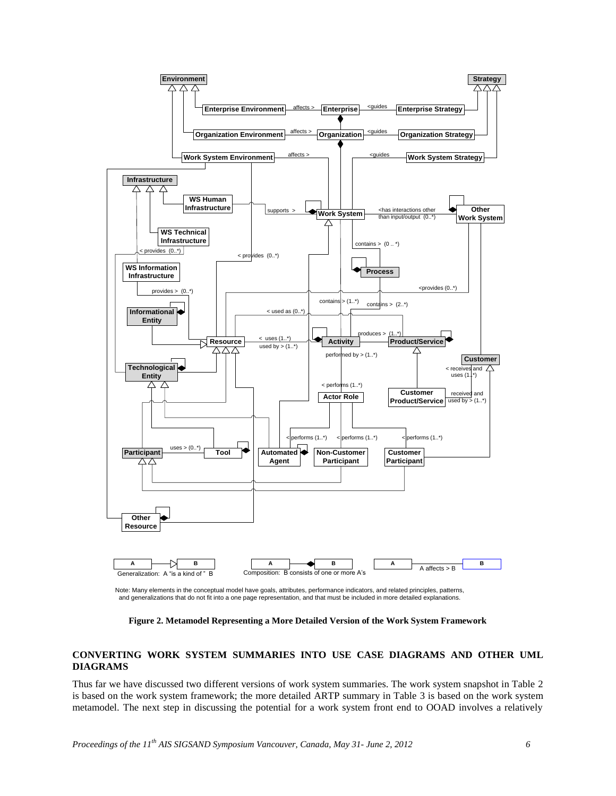

Note: Many elements in the conceptual model have goals, attributes, performance indicators, and related principles, patterns,<br>and generalizations that do not fit into a one page representation, and that must be included in

**Figure 2. Metamodel Representing a More Detailed Version of the Work System Framework**

#### **CONVERTING WORK SYSTEM SUMMARIES INTO USE CASE DIAGRAMS AND OTHER UML DIAGRAMS**

Thus far we have discussed two different versions of work system summaries. The work system snapshot in Table 2 is based on the work system framework; the more detailed ARTP summary in Table 3 is based on the work system metamodel. The next step in discussing the potential for a work system front end to OOAD involves a relatively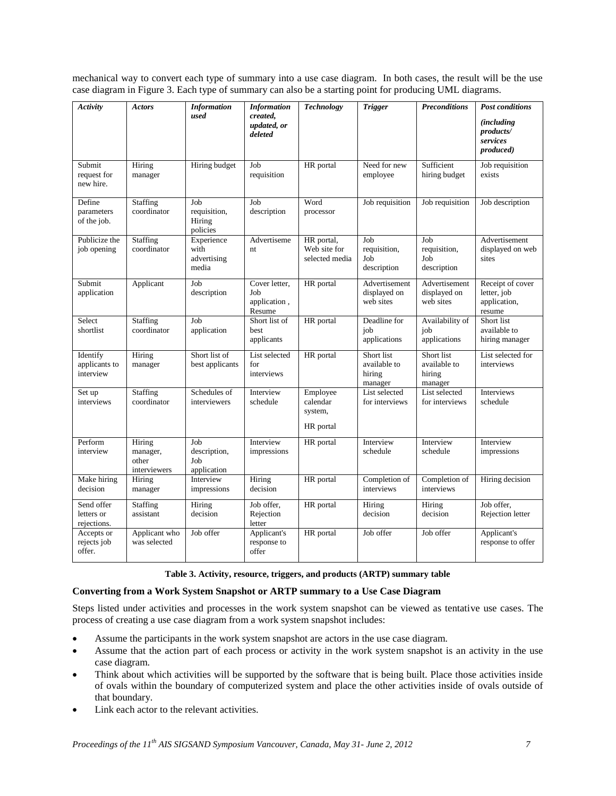mechanical way to convert each type of summary into a use case diagram. In both cases, the result will be the use case diagram in Figure 3. Each type of summary can also be a starting point for producing UML diagrams.

| Activity                                | <b>Actors</b>                               | <b>Information</b><br>used                 | <b>Information</b><br>created,<br>updated, or<br>deleted | <b>Technology</b>                            | <b>Trigger</b>                                  | <b>Preconditions</b>                            | <b>Post conditions</b><br><i>(including)</i><br>products/<br>services<br>produced) |
|-----------------------------------------|---------------------------------------------|--------------------------------------------|----------------------------------------------------------|----------------------------------------------|-------------------------------------------------|-------------------------------------------------|------------------------------------------------------------------------------------|
| Submit<br>request for<br>new hire.      | Hiring<br>manager                           | Hiring budget                              | Job<br>requisition                                       | HR portal                                    | Need for new<br>employee                        | Sufficient<br>hiring budget                     | Job requisition<br>exists                                                          |
| Define<br>parameters<br>of the job.     | Staffing<br>coordinator                     | Job<br>requisition,<br>Hiring<br>policies  | Job<br>description                                       | Word<br>processor                            | Job requisition                                 | Job requisition                                 | Job description                                                                    |
| Publicize the<br>job opening            | <b>Staffing</b><br>coordinator              | Experience<br>with<br>advertising<br>media | Advertiseme<br>nt                                        | HR portal,<br>Web site for<br>selected media | Job<br>requisition,<br>Job<br>description       | Job<br>requisition,<br>Job<br>description       | Advertisement<br>displayed on web<br>sites                                         |
| Submit<br>application                   | Applicant                                   | Job<br>description                         | Cover letter,<br>Job<br>application,<br>Resume           | HR portal                                    | Advertisement<br>displayed on<br>web sites      | Advertisement<br>displayed on<br>web sites      | Receipt of cover<br>letter, job<br>application,<br>resume                          |
| Select<br>shortlist                     | <b>Staffing</b><br>coordinator              | Job<br>application                         | Short list of<br>best<br>applicants                      | HR portal                                    | Deadline for<br>iob<br>applications             | Availability of<br>job<br>applications          | Short list<br>available to<br>hiring manager                                       |
| Identify<br>applicants to<br>interview  | Hiring<br>manager                           | Short list of<br>best applicants           | List selected<br>for<br>interviews                       | HR portal                                    | Short list<br>available to<br>hiring<br>manager | Short list<br>available to<br>hiring<br>manager | List selected for<br>interviews                                                    |
| Set up<br>interviews                    | Staffing<br>coordinator                     | Schedules of<br>interviewers               | Interview<br>schedule                                    | Employee<br>calendar<br>system,<br>HR portal | List selected<br>for interviews                 | List selected<br>for interviews                 | <b>Interviews</b><br>schedule                                                      |
| Perform<br>interview                    | Hiring<br>manager,<br>other<br>interviewers | Job<br>description,<br>Job<br>application  | Interview<br>impressions                                 | HR portal                                    | Interview<br>schedule                           | Interview<br>schedule                           | Interview<br>impressions                                                           |
| Make hiring<br>decision                 | Hiring<br>manager                           | Interview<br>impressions                   | Hiring<br>decision                                       | HR portal                                    | Completion of<br>interviews                     | Completion of<br>interviews                     | Hiring decision                                                                    |
| Send offer<br>letters or<br>rejections. | <b>Staffing</b><br>assistant                | Hiring<br>decision                         | Job offer.<br>Rejection<br>letter                        | HR portal                                    | Hiring<br>decision                              | Hiring<br>decision                              | Job offer,<br>Rejection letter                                                     |
| Accepts or<br>rejects job<br>offer.     | Applicant who<br>was selected               | Job offer                                  | Applicant's<br>response to<br>offer                      | HR portal                                    | Job offer                                       | Job offer                                       | Applicant's<br>response to offer                                                   |

#### **Table 3. Activity, resource, triggers, and products (ARTP) summary table**

#### **Converting from a Work System Snapshot or ARTP summary to a Use Case Diagram**

Steps listed under activities and processes in the work system snapshot can be viewed as tentative use cases. The process of creating a use case diagram from a work system snapshot includes:

- Assume the participants in the work system snapshot are actors in the use case diagram.
- Assume that the action part of each process or activity in the work system snapshot is an activity in the use case diagram.
- Think about which activities will be supported by the software that is being built. Place those activities inside of ovals within the boundary of computerized system and place the other activities inside of ovals outside of that boundary.
- Link each actor to the relevant activities.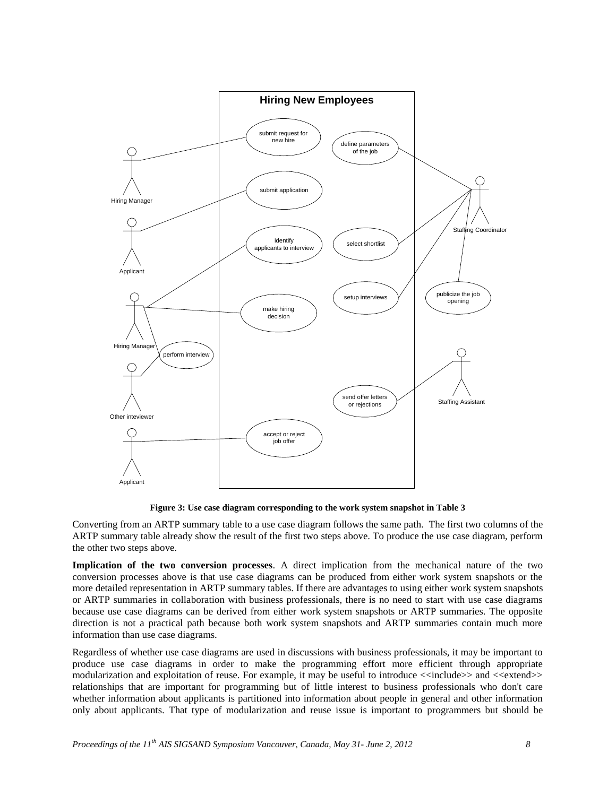

**Figure 3: Use case diagram corresponding to the work system snapshot in Table 3**

Converting from an ARTP summary table to a use case diagram follows the same path. The first two columns of the ARTP summary table already show the result of the first two steps above. To produce the use case diagram, perform the other two steps above.

**Implication of the two conversion processes**. A direct implication from the mechanical nature of the two conversion processes above is that use case diagrams can be produced from either work system snapshots or the more detailed representation in ARTP summary tables. If there are advantages to using either work system snapshots or ARTP summaries in collaboration with business professionals, there is no need to start with use case diagrams because use case diagrams can be derived from either work system snapshots or ARTP summaries. The opposite direction is not a practical path because both work system snapshots and ARTP summaries contain much more information than use case diagrams.

Regardless of whether use case diagrams are used in discussions with business professionals, it may be important to produce use case diagrams in order to make the programming effort more efficient through appropriate modularization and exploitation of reuse. For example, it may be useful to introduce  $\le$ include>> and  $\le$ extend>> relationships that are important for programming but of little interest to business professionals who don't care whether information about applicants is partitioned into information about people in general and other information only about applicants. That type of modularization and reuse issue is important to programmers but should be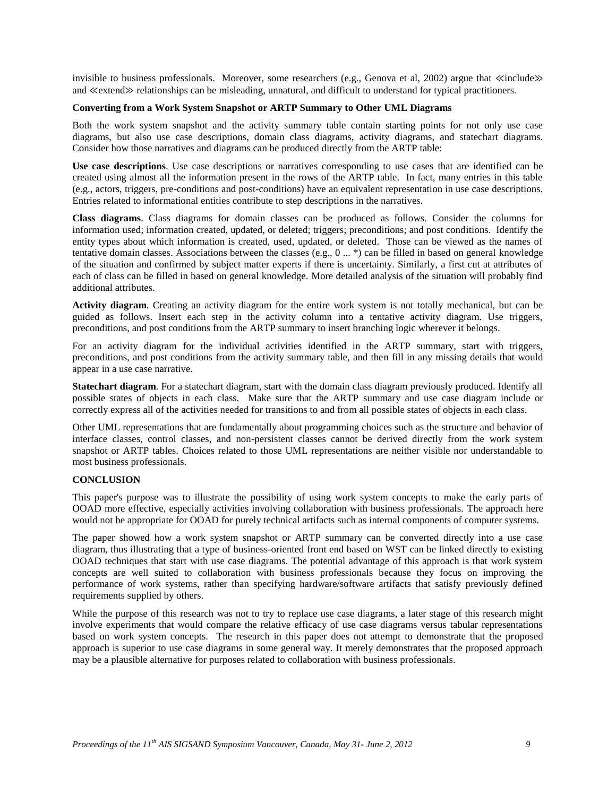invisible to business professionals. Moreover, some researchers (e.g., Genova et al, 2002) argue that ≪include≫ and ≪extend≫ relationships can be misleading, unnatural, and difficult to understand for typical practitioners.

#### **Converting from a Work System Snapshot or ARTP Summary to Other UML Diagrams**

Both the work system snapshot and the activity summary table contain starting points for not only use case diagrams, but also use case descriptions, domain class diagrams, activity diagrams, and statechart diagrams. Consider how those narratives and diagrams can be produced directly from the ARTP table:

**Use case descriptions**. Use case descriptions or narratives corresponding to use cases that are identified can be created using almost all the information present in the rows of the ARTP table. In fact, many entries in this table (e.g., actors, triggers, pre-conditions and post-conditions) have an equivalent representation in use case descriptions. Entries related to informational entities contribute to step descriptions in the narratives.

**Class diagrams**. Class diagrams for domain classes can be produced as follows. Consider the columns for information used; information created, updated, or deleted; triggers; preconditions; and post conditions. Identify the entity types about which information is created, used, updated, or deleted. Those can be viewed as the names of tentative domain classes. Associations between the classes (e.g.,  $0 \dots *$ ) can be filled in based on general knowledge of the situation and confirmed by subject matter experts if there is uncertainty. Similarly, a first cut at attributes of each of class can be filled in based on general knowledge. More detailed analysis of the situation will probably find additional attributes.

**Activity diagram**. Creating an activity diagram for the entire work system is not totally mechanical, but can be guided as follows. Insert each step in the activity column into a tentative activity diagram. Use triggers, preconditions, and post conditions from the ARTP summary to insert branching logic wherever it belongs.

For an activity diagram for the individual activities identified in the ARTP summary, start with triggers, preconditions, and post conditions from the activity summary table, and then fill in any missing details that would appear in a use case narrative.

**Statechart diagram**. For a statechart diagram, start with the domain class diagram previously produced. Identify all possible states of objects in each class. Make sure that the ARTP summary and use case diagram include or correctly express all of the activities needed for transitions to and from all possible states of objects in each class.

Other UML representations that are fundamentally about programming choices such as the structure and behavior of interface classes, control classes, and non-persistent classes cannot be derived directly from the work system snapshot or ARTP tables. Choices related to those UML representations are neither visible nor understandable to most business professionals.

#### **CONCLUSION**

This paper's purpose was to illustrate the possibility of using work system concepts to make the early parts of OOAD more effective, especially activities involving collaboration with business professionals. The approach here would not be appropriate for OOAD for purely technical artifacts such as internal components of computer systems.

The paper showed how a work system snapshot or ARTP summary can be converted directly into a use case diagram, thus illustrating that a type of business-oriented front end based on WST can be linked directly to existing OOAD techniques that start with use case diagrams. The potential advantage of this approach is that work system concepts are well suited to collaboration with business professionals because they focus on improving the performance of work systems, rather than specifying hardware/software artifacts that satisfy previously defined requirements supplied by others.

While the purpose of this research was not to try to replace use case diagrams, a later stage of this research might involve experiments that would compare the relative efficacy of use case diagrams versus tabular representations based on work system concepts. The research in this paper does not attempt to demonstrate that the proposed approach is superior to use case diagrams in some general way. It merely demonstrates that the proposed approach may be a plausible alternative for purposes related to collaboration with business professionals.